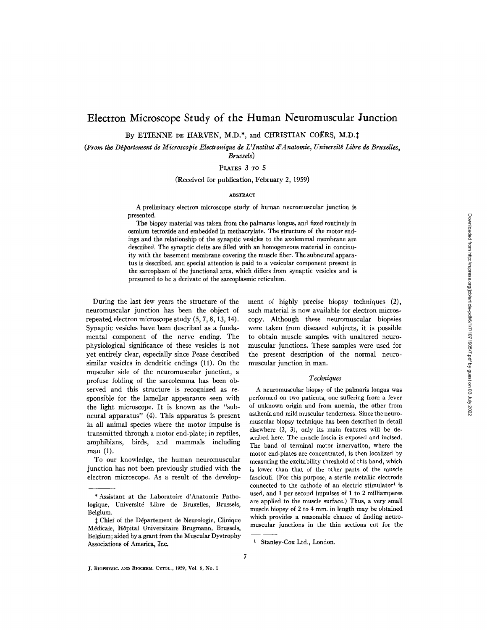# Electron Microscope Study of the Human Neuromuscular Junction

By ETIENNE DE HARVEN, M.D.\*, and CHRISTIAN COËRS, M.D.‡

(From the Département de Microscopie Electronique de L'Institut d'Anatomie, Université Libre de Bruxelles, *Brussels)* 

PLATES 3 TO 5

(Received for publication, February 2, 1959)

#### ABSTRACT

A preliminary electron microscope study of human neuromuscular junction is presented.

The biopsy material was taken from the palmarus longus, and fixed routinely in osmium tetroxide and embedded in methacrylate. The structure of the motor endings and the relationship of the synaptic vesicles to the axolemmal membrane are described. The synaptic clefts are filled with an homogeneous material in continuity with the basement membrane covering the muscle fiber. The subneural apparatus is described, and special attention is paid to a vesicular component present in the sarcoplasm of the junctional area, which differs from synaptic vesicles and is presumed to be a derivate of the sarcoplasmic reticulum.

During the last few years the structure of the neuromuscular junction has been the object of repeated electron microscope study (5, 7, 8, 13, 14). Synaptic vesicles have been described as a fundamental component of the nerve ending. The physiological significance of these vesicles is not yet entirely clear, especially since Pease described similar vesicles in dendritic endings (11). On the muscular side of the neuromuscular junction, a profuse folding of the sarcolemma has been observed and this structure is recognized as responsible for the lamellar appearance seen with the light microscope. It is known as the "subneural apparatus" (4). This apparatus is present in all animal species where the motor impulse is transmitted through a motor end-plate; in reptiles, amphibians, birds, and mammals including man (1).

To our knowledge, the human neuromuscular junction has not been previously studied with the electron microscope. As a result of the development of highly precise biopsy techniques (2), such material is now available for electron microscopy. Although these neuromuscular biopsies were taken from diseased subjects, it is possible to obtain muscle samples with unaltered neuromuscular junctions. These samples were used for the present description of the normal neuromuscular junction in man.

#### *Techniques*

A neuromuscular biopsy of the palmaris longus was performed on two patients, one suffering from a fever of unknown origin and from anemia, the other from asthenia and mild muscular tenderness. Since the neuromuscular biopsy technique has been described in detail elsewhere (2, 3), only its main features will be described here. The muscle fascia is exposed and incised. The band of terminal motor innervation, where the motor end-plates are concentrated, is then localized by measuring the excitability threshold of this band, which is lower than that of the other parts of the muscle fasciculi. (For this purpose, a sterile metallic electrode connected to the cathode of an electric stimulator<sup>1</sup> is used, and 1 per second impulses of 1 to 2 milliamperes are applied to the muscle surface.) Thus, a very small muscle biopsy of 2 to 4 mm. in length may be obtained which provides a reasonable chance of finding neuromuscular junctions in the thin sections cut for the

<sup>\*</sup> Assistant at the Laboratoire d'Anatomie Pathologique, Université Libre de Bruxelles, Brussels, Belgium.

 $\ddagger$  Chief of the Département de Neurologie, Clinique M6dicale, H6pital Universitaire Brugmann, Brussels, Belgium; aided by a grant from the Muscular Dystrophy Associations of America, Inc.

i Stanley-Cox Ltd., London.

J. BIOPHYSIC. AND BIOCHEM. CYTOL., 1959, Vol. 6, No. 1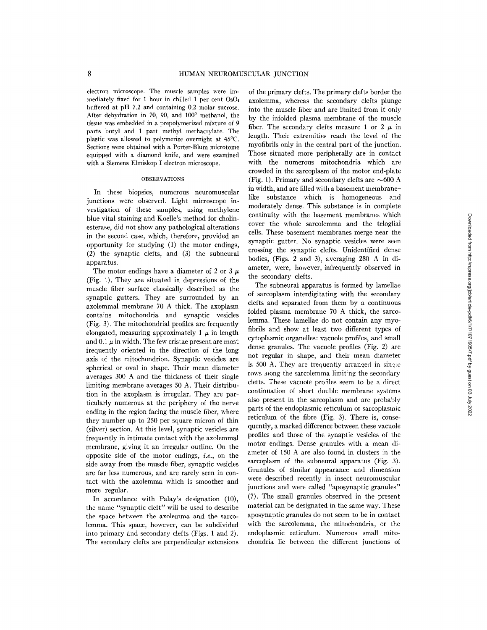electron microscope. The muscle samples were immediately fixed for 1 hour in chilled 1 per cent OsO4 buffered at pH 7.2 and containing 0.2 molar sucrose. After dehydration in 70, 90, and  $100^{\circ}$  methanol, the tissue was embedded in a prepolymerized mixture of 9 parts butyl and 1 part methyl methacrylate. The plastic was allowed to polymerize overnight at 45°C. Sections were obtained with a Porter-Blum microtome equipped with a diamond knife, and were examined with a Siemens Elmiskop I electron microscope.

### OBSERVATIONS

In these biopsies, numerous neuromuscular junctions were observed. Light microscope investigation of these samples, using methylene blue vital staining and Koelle's method for cholinesterase, did not show any pathological alterations in the second case, which, therefore, provided an opportunity for studying (1) the motor endings, (2) the synaptic clefts, and (3) the subneural apparatus.

The motor endings have a diameter of 2 or 3  $\mu$ (Fig. 1). They are situated in depressions of the muscle fiber surface classically described as the synaptic gutters. They are surrounded by an axolemmal membrane 70 A thick. The axoplasm contains mitochondria and synaptic vesicles (Fig. 3). The mitochondrial profiles are frequently elongated, measuring approximately 1  $\mu$  in length and 0.1  $\mu$  in width. The few cristae present are most frequently oriented in the direction of the long axis of the mitochondrion. Synaptic vesicles are spherical or oval in shape. Their mean diameter averages 300 A and the thickness of their single limiting membrane averages 50 A. Their distribution in the axoplasm is irregular. They are particularly numerous at the periphery of the nerve ending in the region facing the muscle fiber, where they number up to 250 per square micron of thin (silver) section. At this level, synaptic vesicles are frequently in intimate contact with the axolemmal membrane, giving it an irregular outline. On the opposite side of the motor endings, *i.e.,* on the side away from the muscle fiber, synaptic vesicles are far less numerous, and are rarely seen in contact with the axolemma which is smoother and more regular.

In accordance with Palay's designation (10), the name "synaptic cleft" will be used to describe the space between the axolemma and the sarcolemma. This space, however, can be subdivided into primary and secondary clefts (Figs. 1 and 2). The secondary clefts are perpendicular extensions

of the primary clefts. The primary clefts border the axolemma, whereas the secondary clefts plunge into the muscle fiber and are limited from it only by the infolded plasma membrane of the muscle fiber. The secondary clefts measure 1 or 2  $\mu$  in length. Their extremities reach the level of the myofibrils only in the central part of the junction. Those situated more peripherally are in contact with the numerous mitochondria which are crowded in the sarcoplasm of the motor end-plate (Fig. 1). Primary and secondary clefts are  $\sim$  600 A in width, and are filled with a basement membranelike substance which is homogeneous and moderately dense. This substance is in complete continuity with the basement membranes which cover the whole sarcolemma and the teloglial cells. These basement membranes merge near the synaptic gutter. No synaptic vesicles were seen crossing the synaptic clefts. Unidentified dense bodies, (Figs. 2 and 3), averaging 280 A in diameter, were, however, infrequently observed in the secondary clefts.

The subneural apparatus is formed by lamellae of sarcoplasm interdigitating with the secondary clefts and separated from them by a continuous folded plasma membrane 70 A thick, the sarcolemma. These lamellae do not contain any myofibrils and show at least two different types of cytoplasmic organelles: vacuole profiles, and small dense granules. The vacuole profiles (Fig. 2) are not regular in shape, and their mean diameter is  $500$  A. They are trequently arranged in single rows along the sarcolemma limiting the secondary cletts. These vacuole profiles seem to be a direct continuation of short double membrane systems also present in the sarcoplasm and are probably parts of the endoplasmic reticulum or sarcoplasmic reticulum of the fibre (Fig. 3). There is, consequently, a marked difference between these vacuole profiles and those of the synaptic vesicles of the motor endings. Dense granules with a mean diameter of 150 A are also found in clusters in the sarcoplasm of the subneural apparatus (Fig. 3). Granules of similar appearance and dimension were described recently in insect neuromuscular junctions and were called "aposynaptic granules" (7). The small granules observed in the present material can be designated in the same way. These aposynaptic granules do not seem to be in contact with the sarcolemma, the mitochondria, or the endoplasmic reticulum. Numerous small mitochondria lie between the different junctions of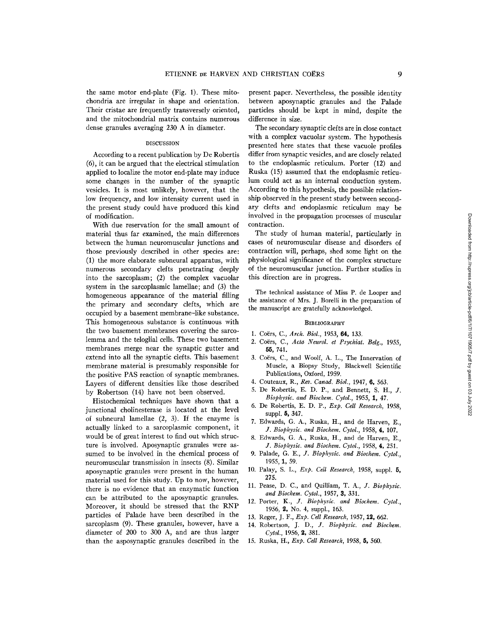the same motor end-plate (Fig. 1). These mitochondria are irregular in shape and orientation. Their cristae are frequently transversely oriented, and the mitochondrial matrix contains numerous dense granules averaging 230 A in diameter.

### DISCUSSION

According to a recent publication by De Robertis (6), it can be argued that the electrical stimulation applied to localize the motor end-plate may induce some changes in the number of the synaptic vesicles. It is most unlikely, however, that the low frequency, and low intensity current used in the present study could have produced this kind of modification.

With due reservation for the small amount of material thus far examined, the main differences between the human neuromuscular junctions and those previously described in other species are: (1) the more elaborate subneural apparatus, with numerous secondary clefts penetrating deeply into the sarcoplasm; (2) the complex vacuolar system in the sarcoplasmic lamellae; and (3) the homogeneous appearance of the material filling the primary and secondary clefts, which are occupied by a basement membrane-like substance. This homogeneous substance is continuous with the two basement membranes covering the sarcolemma and the teloglial cells. These two basement membranes merge near the synaptic gutter and extend into all the synaptic clefts. This basement membrane material is presumably responsible for the positive PAS reaction of synaptic membranes. Layers of different densities like those described by Robertson (14) have not been observed.

Histochemical techniques have shown that a junctional cholinesterase is located at the level of subneural lamellae (2, 3). If the enzyme is actually linked to a sarcoplasmic component, it would be of great interest to find out which structure is involved. Aposynaptic granules were assumed to be involved in the chemical process of neuromuscular transmission in insects (8). Similar aposynaptic granules were present in the human material used for this study. Up to now, however, there is no evidence that an enzymatic function can be attributed to the aposynaptic granules. Moreover, it should be stressed that the RNP particles of Palade have been described in the sarcoplasm (9). These granules, however, have a diameter of 200 to 300 A, and are thus larger than the asposynaptic granules described in the

present paper. Nevertheless, the possible identity between aposynaptic granules and the Palade particles should be kept in mind, despite the difference in size.

The secondary synaptic clefts are in close contact with a complex vacuolar system. The hypothesis presented here states that these vacuole profiles differ from synaptic vesicles, and are closely related to the endoplasmic reticulum. Porter (12) and Ruska (15) assumed that the endoplasmic reticulum could act as an internal conduction system. According to this hypothesis, the possible relationship observed in the present study between secondary clefts and endoplasmic reticulum may be involved in the propagation processes of muscular contraction.

The study of human material, particularly in cases of neuromuscular disease and disorders of contraction will, perhaps, shed some light on the physiological significance of the complex structure of the neuromuscular junction. Further studies in this direction are in progress.

The technical assistance of Miss P. de Looper and the assistance of Mrs. J. Borelli in the preparation of the manuscript are gratefully acknowledged.

## **BIBLIOGRAPHY**

- 1. Coërs, C., Arch. Biol., 1953, 64, 133.
- 2. Coërs, C., Acta Neurol. et Psychiat. Belg., 1955, **55, 741.**
- 3. Coërs, C., and Woolf, A. L., The Innervation of Muscle, a Biopsy Study, Blackwell Scientific Publications, Oxford, 1959.
- 4. Couteaux, *R., Rev. Canad. Biol.,* 1947, 6, 563.
- 5. De Robertis, E. D. P., and Bennett, S. H., J. *Biophysic. and Biochem. Cytol.,* 1955, 1, 47.
- 6. De Robertis, E. D. P., *Exp. Cell Research,* 1958, suppl. 5, 347.
- 7. Edwards, G. A., Ruska, H., and de Harven, E., *J. Biophysic. and Biochem. Cytol.,* 1958, 4, 107.
- 8. Edwards, G. A., Ruska, H., and de Harven, E., *J. Biophyslc. and Biochem. Cytol.,* 1958, 4, 251.
- 9. Palade, *G. E., J. Biophysic. and Biochem. Cytol.,*  1955, 1, 59.
- 10. Palay, S. L., *Exp. Cell Research,* 1958, suppl. 5, 275.
- 11. Pease, D. C., and Quilliam, *T. A., J. Biophyslc. and Biochem. Cytol.,* 1957, 3, 331.
- 12. Porter, *K., J. Biophysic. and Biochem. Cytol.,*  1956, 2, No. 4, suppl., 163.
- 13. Reger, J. F., *Exp. Cell Research,* 1957, 12, 662.
- 14. Robertson, *J. D., J. Biophyslc. and Biochem. Cytol.,* 1956, 2, 381.
- 15. Ruska, H., *Exp. Cell Research,* 1958, 5, 560.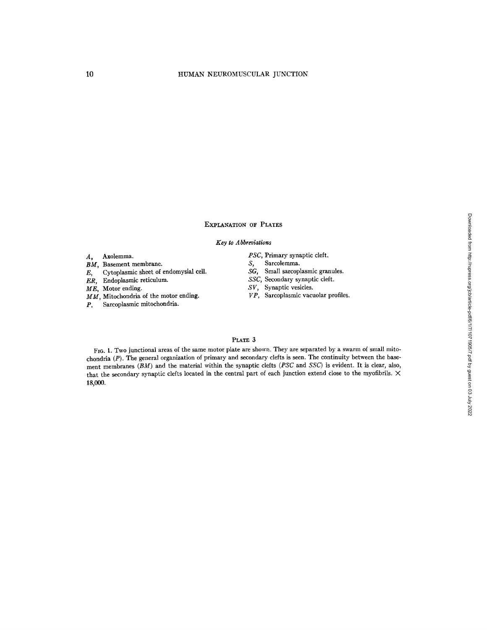# EXPLANATION OF PLATES

## *Key to Abbreviations*

#### A, Axolemma.

- *BM,* Basement membrane.
- $E$ , Cytoplasmic sheet of endomysial cell.
- ER, Endoplasmic reticulum.

ME, Motor ending.

- *MM,* Mitochondria of the motor ending.
- p, Sarcoplasmic mitochondria.
- *PSC,* Primary synaptic cleft,
- S, Sarcolemma.
- *SG,* Small sarcoplasmic granules.
- *SSC,* Secondary synaptic cleft.
- *SV,* Synaptic vesicles.
- *VP,* Sarcoplasmic vacuolar profiles.

## PLATE 3

FIO. 1. Two junctional areas of the same motor plate are shown. They are separated by a swarm of small mitochondria (P). The general organization of primary and secondary clefts is seen. The continuity between the basement membranes *(BM)* and the material within the synaptic clefts *(PSC* and *SSC)* is evident. It is clear, also, that the secondary synaptic clefts located in the central part of each junction extend close to the myofibrils.  $\times$ 18,000.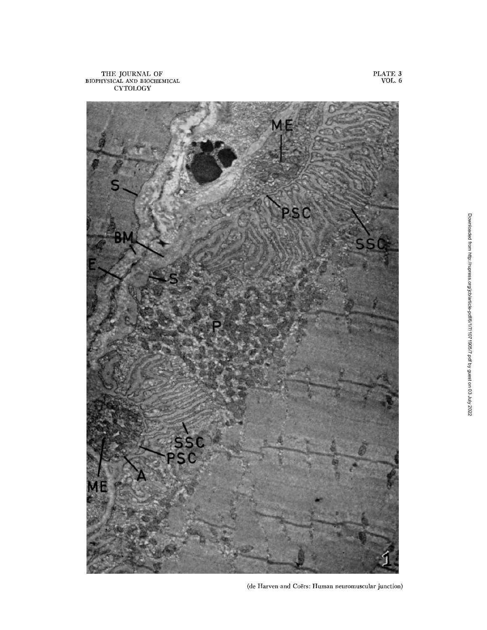THE JOURNAL OF BIOPHYSICAL AND BIOCHEMICAL CYTOLOGY



PLATE 3 VOL. 6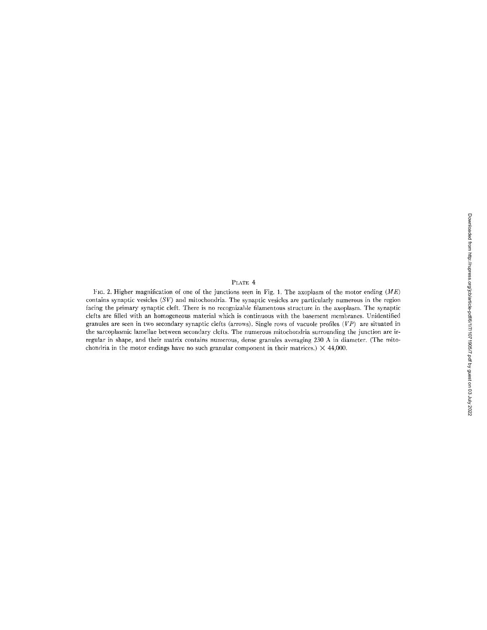# PLATE 4

l;IG. 2. Higher magnification of one of the junctions seen in Fig. 1. The axoplasm of the motor ending *(ME)*  contains synaptic vesicles *(SV)* and mitochondria. The synaptic vesicles are particularly numerous in the region facing the primary synaptic cleft. There is no recognizable filamentous structure in the axoplasm. The synaptic clefts are filled with an homogeneous material which is continuous with the basement membranes. Unidentified granules are seen in two secondary synaptic clefts (arrows). Single rows of vacuole profiles (VP) are situated in the sarcoplasmic lamellae between secondary clefts. The numerous mitochondria surrounding the junction are irregular in shape, and their matrix contains numerous, dense granules averaging 230 A in diameter. (The mitochondria in the motor endings have no such granular component in their matrices.)  $\times$  44,000.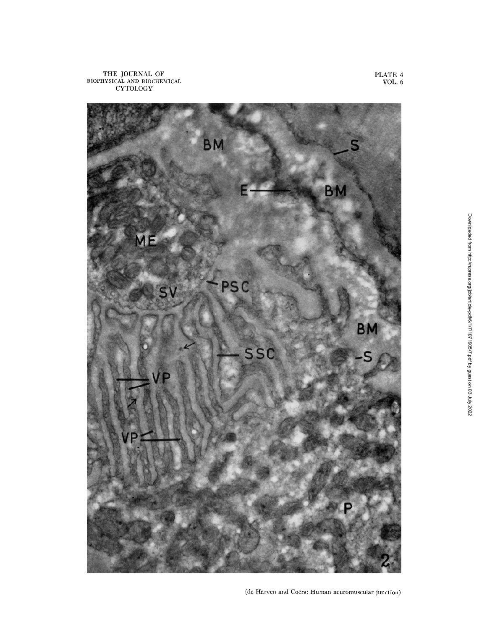

PLATE 4 VOL. 6

(de Harven and Coërs: Human neuromuscular junction)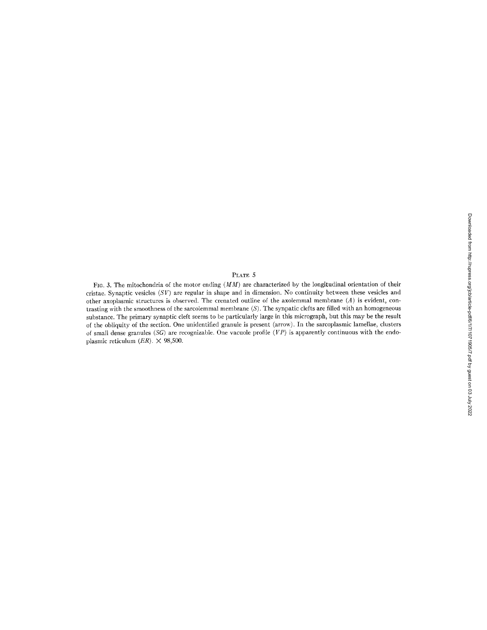# PLATE 5

FIG. 3. The mitochondria of the motor ending  $(MM)$  are characterized by the longitudinal orientation of their cristae. Synaptic vesicles *(SV)* are regular in shape and in dimension. No continuity between these vesicles and other axoplasmic structures is observed. The crenated outline of the axolemmal membrane (A) is evident, contrasting with the smoothness of the sarcolemmal membrane (S). The synpatic clefts are filled with an homogeneous substance. The primary synaptic cleft seems to be particularly large in this micrograph, but this may be the result of the obliquity of the section. One unidentified granule is present (arrow). In the sarcoplasmic lamellae, clusters of small dense granules *(SG)* are recognizable. One vacuole profile *(VP)* is apparently continuous with the endoplasmic reticulum *(ER).* X 98,500.